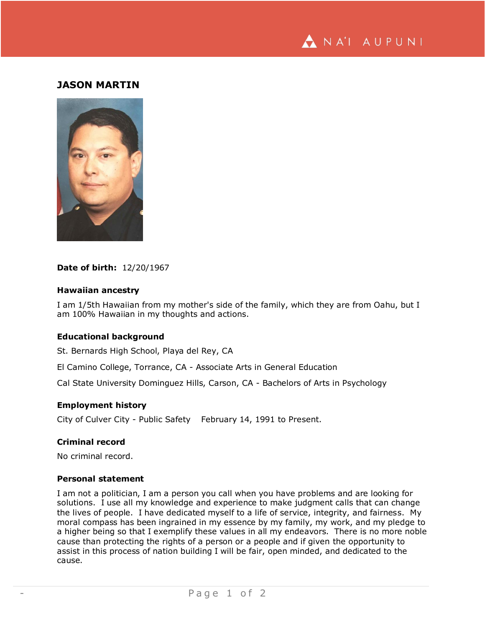

# **JASON MARTIN**



#### **Date of birth:** 12/20/1967

### **Hawaiian ancestry**

I am 1/5th Hawaiian from my mother's side of the family, which they are from Oahu, but I am 100% Hawaiian in my thoughts and actions.

#### **Educational background**

St. Bernards High School, Playa del Rey, CA

El Camino College, Torrance, CA - Associate Arts in General Education

Cal State University Dominguez Hills, Carson, CA - Bachelors of Arts in Psychology

#### **Employment history**

City of Culver City - Public Safety February 14, 1991 to Present.

## **Criminal record**

No criminal record.

#### **Personal statement**

I am not a politician, I am a person you call when you have problems and are looking for solutions. I use all my knowledge and experience to make judgment calls that can change the lives of people. I have dedicated myself to a life of service, integrity, and fairness. My moral compass has been ingrained in my essence by my family, my work, and my pledge to a higher being so that I exemplify these values in all my endeavors. There is no more noble cause than protecting the rights of a person or a people and if given the opportunity to assist in this process of nation building I will be fair, open minded, and dedicated to the cause.